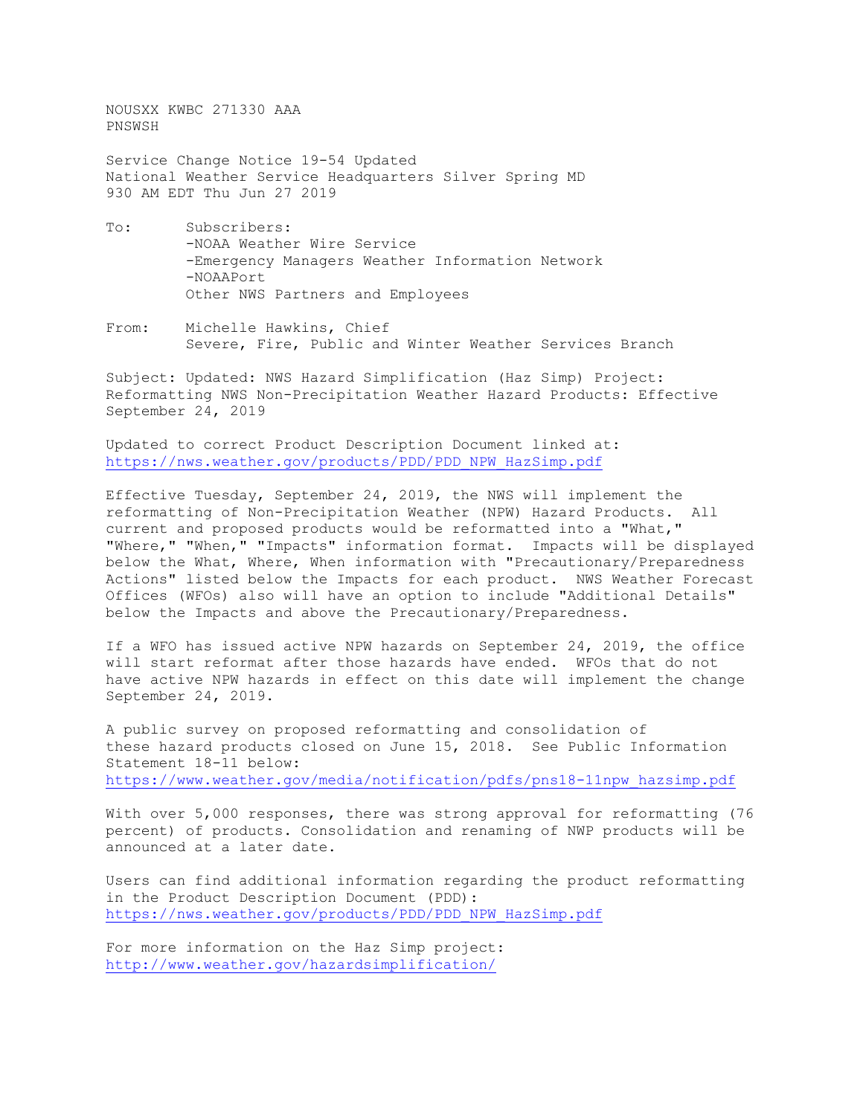NOUSXX KWBC 271330 AAA PNSWSH

Service Change Notice 19-54 Updated National Weather Service Headquarters Silver Spring MD 930 AM EDT Thu Jun 27 2019

- To: Subscribers: -NOAA Weather Wire Service -Emergency Managers Weather Information Network -NOAAPort Other NWS Partners and Employees
- From: Michelle Hawkins, Chief Severe, Fire, Public and Winter Weather Services Branch

Subject: Updated: NWS Hazard Simplification (Haz Simp) Project: Reformatting NWS Non-Precipitation Weather Hazard Products: Effective September 24, 2019

Updated to correct Product Description Document linked at: [https://nws.weather.gov/products/PDD/PDD\\_NPW\\_HazSimp.pdf](https://nws.weather.gov/products/PDD/PDD_NPW_HazSimp.pdf)

Effective Tuesday, September 24, 2019, the NWS will implement the reformatting of Non-Precipitation Weather (NPW) Hazard Products. All current and proposed products would be reformatted into a "What," "Where," "When," "Impacts" information format. Impacts will be displayed below the What, Where, When information with "Precautionary/Preparedness Actions" listed below the Impacts for each product. NWS Weather Forecast Offices (WFOs) also will have an option to include "Additional Details" below the Impacts and above the Precautionary/Preparedness.

If a WFO has issued active NPW hazards on September 24, 2019, the office will start reformat after those hazards have ended. WFOs that do not have active NPW hazards in effect on this date will implement the change September 24, 2019.

A public survey on proposed reformatting and consolidation of these hazard products closed on June 15, 2018. See Public Information Statement 18-11 below: [https://www.weather.gov/media/notification/pdfs/pns18-11npw\\_hazsimp.pdf](https://www.weather.gov/media/notification/pdfs/pns18-11npw_hazsimp.pdf)

With over 5,000 responses, there was strong approval for reformatting (76 percent) of products. Consolidation and renaming of NWP products will be announced at a later date.

Users can find additional information regarding the product reformatting in the Product Description Document (PDD): [https://nws.weather.gov/products/PDD/PDD\\_NPW\\_HazSimp.pdf](https://nws.weather.gov/products/PDD/PDD_NPW_HazSimp.pdf)

For more information on the Haz Simp project: <http://www.weather.gov/hazardsimplification/>